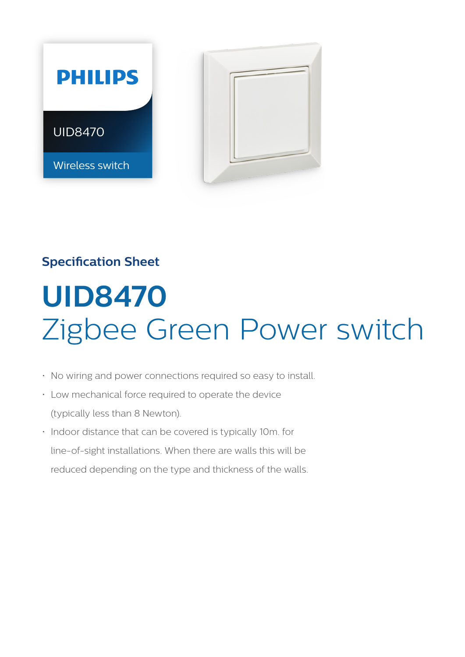

# **Specification Sheet**

# **UID8470**  Zigbee Green Power switch

- No wiring and power connections required so easy to install.
- Low mechanical force required to operate the device (typically less than 8 Newton).
- Indoor distance that can be covered is typically 10m. for line-of-sight installations. When there are walls this will be reduced depending on the type and thickness of the walls.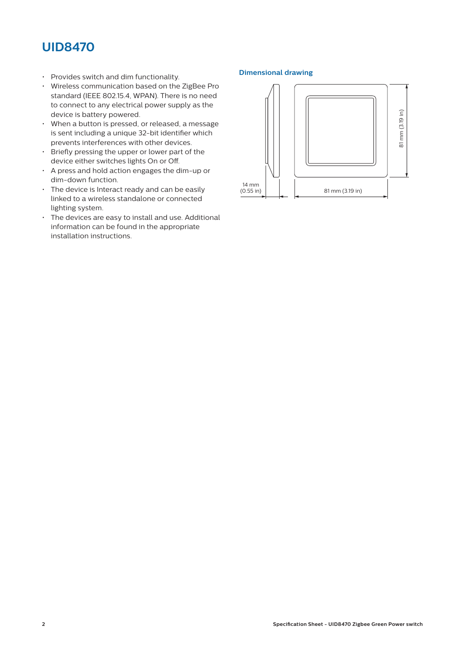# **UID8470**

- Provides switch and dim functionality.
- Wireless communication based on the ZigBee Pro standard (IEEE 802.15.4, WPAN). There is no need to connect to any electrical power supply as the device is battery powered.
- When a button is pressed, or released, a message is sent including a unique 32-bit identifier which prevents interferences with other devices.
- Briefly pressing the upper or lower part of the device either switches lights On or Off.
- A press and hold action engages the dim-up or dim-down function.
- The device is Interact ready and can be easily linked to a wireless standalone or connected lighting system.
- The devices are easy to install and use. Additional information can be found in the appropriate installation instructions.

#### **Dimensional drawing**

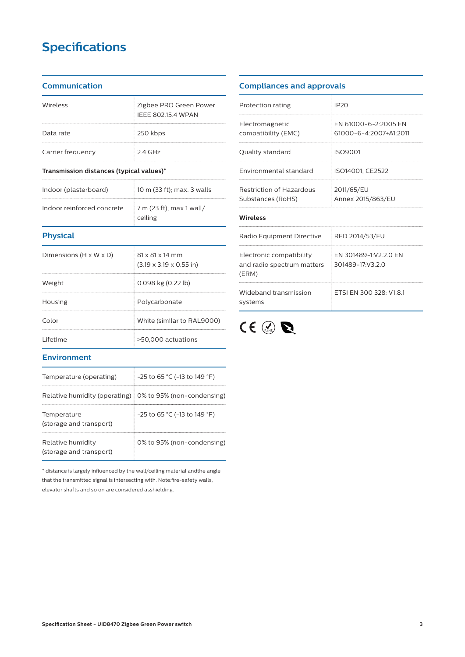# **Specifications**

#### **Communication**

| Wireless          | Zigbee PRO Green Power<br><b>IEEE 802.15.4 WPAN</b> |
|-------------------|-----------------------------------------------------|
| Data rate         | 250 kbps                                            |
| Carrier frequency | $24$ GHz                                            |

#### **Transmission distances (typical values)\***

| Indoor (plasterboard)      | 10 m (33 ft); max. 3 walls                        |
|----------------------------|---------------------------------------------------|
| Indoor reinforced concrete | $\frac{1}{2}$ 7 m (23 ft); max 1 wall/<br>ceiling |

## **Physical**

| Dimensions (H x W x D) | $81 \times 81 \times 14$ mm<br>$(3.19 \times 3.19 \times 0.55)$ in) |
|------------------------|---------------------------------------------------------------------|
| Weight                 | $0.098$ kg $(0.22$ lb)                                              |
| Housing                | Polycarbonate                                                       |
| Color                  | White (similar to RAL9000)                                          |
| <u>l</u> ifetime       | >50,000 actuations                                                  |

## **Environment**

| Temperature (operating)                                    | $-25$ to 65 °C (-13 to 149 °F) |
|------------------------------------------------------------|--------------------------------|
| Relative humidity (operating)   0% to 95% (non-condensing) |                                |
| Temperature<br>(storage and transport)                     | $-25$ to 65 °C (-13 to 149 °F) |
| Relative humidity<br>(storage and transport)               | 0% to 95% (non-condensing)     |

\* distance is largely influenced by the wall/ceiling material andthe angle that the transmitted signal is intersecting with. Note:fire-safety walls, elevator shafts and so on are considered asshielding.

### **Compliances and approvals**

| Protection rating                                               | IP <sub>20</sub>                               |  |  |  |
|-----------------------------------------------------------------|------------------------------------------------|--|--|--|
| Electromagnetic<br>compatibility (EMC)                          | EN 61000-6-2:2005 EN<br>61000-6-4:2007+A1:2011 |  |  |  |
| Quality standard                                                | ISO9001                                        |  |  |  |
| Environmental standard                                          | ISO14001, CE2522                               |  |  |  |
| Restriction of Hazardous<br>Substances (RoHS)                   | 2011/65/EU<br>Annex 2015/863/EU                |  |  |  |
| <b>Wireless</b>                                                 |                                                |  |  |  |
| Radio Equipment Directive                                       | RED 2014/53/EU                                 |  |  |  |
| Electronic compatibility<br>and radio spectrum matters<br>(ERM) | FN 301489-1:V2 2 0 FN<br>301489-17:V3.2.0      |  |  |  |
| Wideband transmission<br>systems                                | ETSI EN 300 328: V1.8.1                        |  |  |  |